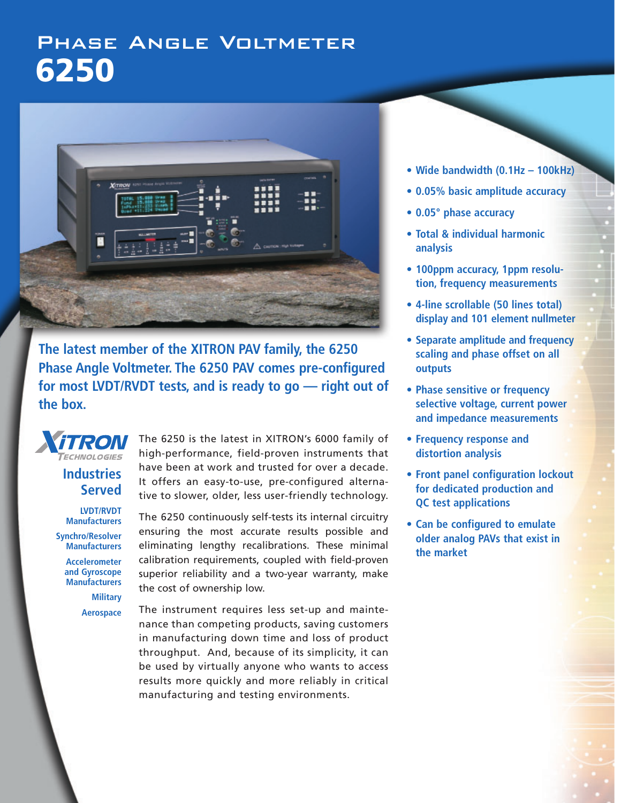# Phase Angle Voltmeter **6250**



**The latest member of the XITRON PAV family, the 6250 Phase Angle Voltmeter. The 6250 PAV comes pre-configured for most LVDT/RVDT tests, and is ready to go — right out of the box.**



**Industries Served**

**LVDT/RVDT Manufacturers**

**Synchro/Resolver Manufacturers**

> **Accelerometer and Gyroscope Manufacturers**

> > **Military Aerospace**

The 6250 is the latest in XITRON's 6000 family of high-performance, field-proven instruments that have been at work and trusted for over a decade. It offers an easy-to-use, pre-configured alternative to slower, older, less user-friendly technology.

The 6250 continuously self-tests its internal circuitry ensuring the most accurate results possible and eliminating lengthy recalibrations. These minimal calibration requirements, coupled with field-proven superior reliability and a two-year warranty, make the cost of ownership low.

The instrument requires less set-up and maintenance than competing products, saving customers in manufacturing down time and loss of product throughput. And, because of its simplicity, it can be used by virtually anyone who wants to access results more quickly and more reliably in critical manufacturing and testing environments.

- **Wide bandwidth (0.1Hz 100kHz)**
- **• 0.05% basic amplitude accuracy**
- **• 0.05° phase accuracy**
- **Total & individual harmonic analysis**
- **• 100ppm accuracy, 1ppm resolution, frequency measurements**
- **• 4-line scrollable (50 lines total) display and 101 element nullmeter**
- **• Separate amplitude and frequency scaling and phase offset on all outputs**
- **Phase sensitive or frequency selective voltage, current power and impedance measurements**
- **Frequency response and distortion analysis**
- **Front panel configuration lockout for dedicated production and QC test applications**
- **• Can be configured to emulate older analog PAVs that exist in the market**